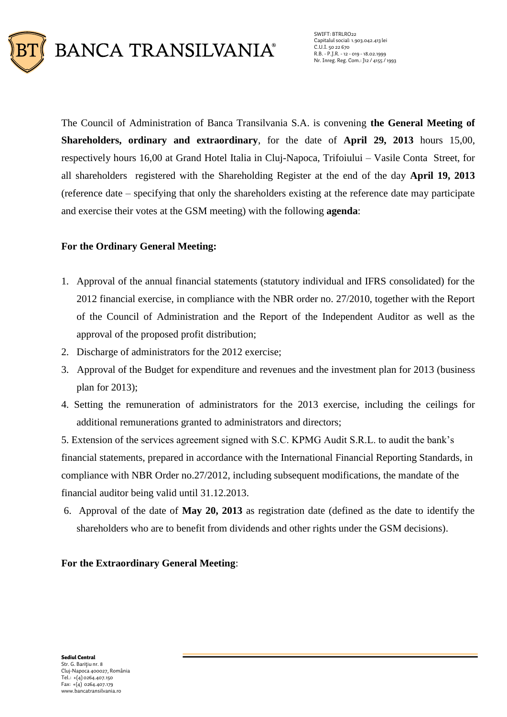

SWIFT: BTRLRO22 Capitalul social: 1.903.042.413 lei C.U.I. 50 22 670 R.B. - P.J.R. - 12 - 019 - 18.02.1999 Nr. Inreg. Reg. Com.: J12 / 4155 / 1993

The Council of Administration of Banca Transilvania S.A. is convening **the General Meeting of Shareholders, ordinary and extraordinary**, for the date of **April 29, 2013** hours 15,00, respectively hours 16,00 at Grand Hotel Italia in Cluj-Napoca, Trifoiului – Vasile Conta Street, for all shareholders registered with the Shareholding Register at the end of the day **April 19, 2013** (reference date – specifying that only the shareholders existing at the reference date may participate and exercise their votes at the GSM meeting) with the following **agenda**:

### **For the Ordinary General Meeting:**

- 1. Approval of the annual financial statements (statutory individual and IFRS consolidated) for the 2012 financial exercise, in compliance with the NBR order no. 27/2010, together with the Report of the Council of Administration and the Report of the Independent Auditor as well as the approval of the proposed profit distribution;
- 2. Discharge of administrators for the 2012 exercise;
- 3. Approval of the Budget for expenditure and revenues and the investment plan for 2013 (business plan for 2013);
- 4. Setting the remuneration of administrators for the 2013 exercise, including the ceilings for additional remunerations granted to administrators and directors;

5. Extension of the services agreement signed with S.C. KPMG Audit S.R.L. to audit the bank's financial statements, prepared in accordance with the International Financial Reporting Standards, in compliance with NBR Order no.27/2012, including subsequent modifications, the mandate of the financial auditor being valid until 31.12.2013.

6. Approval of the date of **May 20, 2013** as registration date (defined as the date to identify the shareholders who are to benefit from dividends and other rights under the GSM decisions).

### **For the Extraordinary General Meeting**: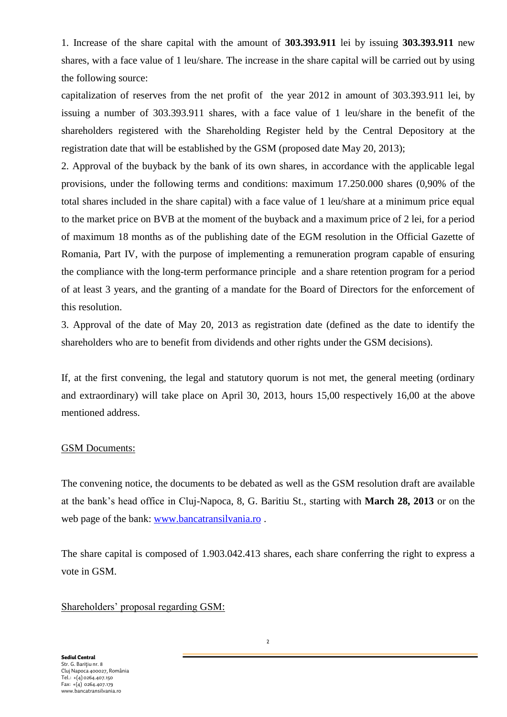1. Increase of the share capital with the amount of **303.393.911** lei by issuing **303.393.911** new shares, with a face value of 1 leu/share. The increase in the share capital will be carried out by using the following source:

capitalization of reserves from the net profit of the year 2012 in amount of 303.393.911 lei, by issuing a number of 303.393.911 shares, with a face value of 1 leu/share in the benefit of the shareholders registered with the Shareholding Register held by the Central Depository at the registration date that will be established by the GSM (proposed date May 20, 2013);

2. Approval of the buyback by the bank of its own shares, in accordance with the applicable legal provisions, under the following terms and conditions: maximum 17.250.000 shares (0,90% of the total shares included in the share capital) with a face value of 1 leu/share at a minimum price equal to the market price on BVB at the moment of the buyback and a maximum price of 2 lei, for a period of maximum 18 months as of the publishing date of the EGM resolution in the Official Gazette of Romania, Part IV, with the purpose of implementing a remuneration program capable of ensuring the compliance with the long-term performance principle and a share retention program for a period of at least 3 years, and the granting of a mandate for the Board of Directors for the enforcement of this resolution.

3. Approval of the date of May 20, 2013 as registration date (defined as the date to identify the shareholders who are to benefit from dividends and other rights under the GSM decisions).

If, at the first convening, the legal and statutory quorum is not met, the general meeting (ordinary and extraordinary) will take place on April 30, 2013, hours 15,00 respectively 16,00 at the above mentioned address.

#### GSM Documents:

The convening notice, the documents to be debated as well as the GSM resolution draft are available at the bank's head office in Cluj-Napoca, 8, G. Baritiu St., starting with **March 28, 2013** or on the web page of the bank: [www.bancatransilvania.ro](http://www.bancatransilvania.ro/) .

The share capital is composed of 1.903.042.413 shares, each share conferring the right to express a vote in GSM.

Shareholders' proposal regarding GSM:

**Sediul Central** Str. G. Bariţiu nr. 8 Cluj Napoca 400027, România Tel.: +(4) 0264.407.150 Fax: +(4) 0264.407.179 www.bancatransilvania.ro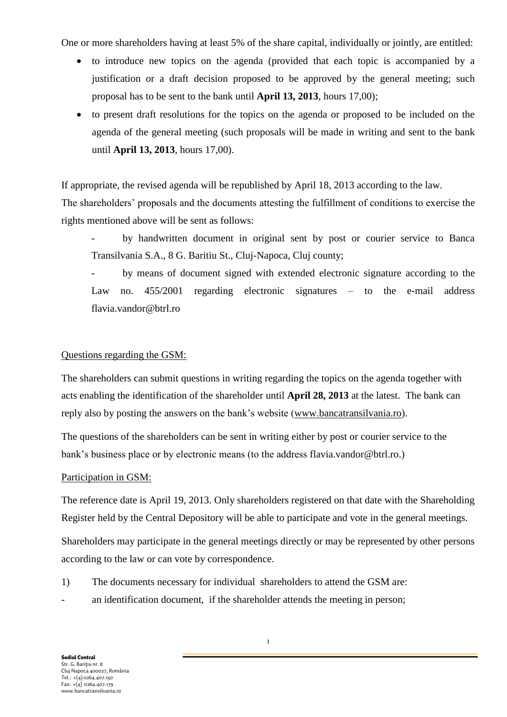One or more shareholders having at least 5% of the share capital, individually or jointly, are entitled:

- to introduce new topics on the agenda (provided that each topic is accompanied by a justification or a draft decision proposed to be approved by the general meeting; such proposal has to be sent to the bank until **April 13, 2013**, hours 17,00);
- to present draft resolutions for the topics on the agenda or proposed to be included on the agenda of the general meeting (such proposals will be made in writing and sent to the bank until **April 13, 2013**, hours 17,00).

If appropriate, the revised agenda will be republished by April 18, 2013 according to the law. The shareholders' proposals and the documents attesting the fulfillment of conditions to exercise the rights mentioned above will be sent as follows:

- by handwritten document in original sent by post or courier service to Banca Transilvania S.A., 8 G. Baritiu St., Cluj-Napoca, Cluj county;
- by means of document signed with extended electronic signature according to the Law no. 455/2001 regarding electronic signatures – to the e-mail address flavia.vandor@btrl.ro

# Questions regarding the GSM:

The shareholders can submit questions in writing regarding the topics on the agenda together with acts enabling the identification of the shareholder until **April 28, 2013** at the latest. The bank can reply also by posting the answers on the bank's website [\(www.bancatransilvania.ro\)](http://www.bancatransilvania.ro/).

The questions of the shareholders can be sent in writing either by post or courier service to the bank's business place or by electronic means (to the address flavia.vandor@btrl.ro.)

## Participation in GSM:

The reference date is April 19, 2013. Only shareholders registered on that date with the Shareholding Register held by the Central Depository will be able to participate and vote in the general meetings.

Shareholders may participate in the general meetings directly or may be represented by other persons according to the law or can vote by correspondence.

- 1) The documents necessary for individual shareholders to attend the GSM are:
- an identification document, if the shareholder attends the meeting in person;